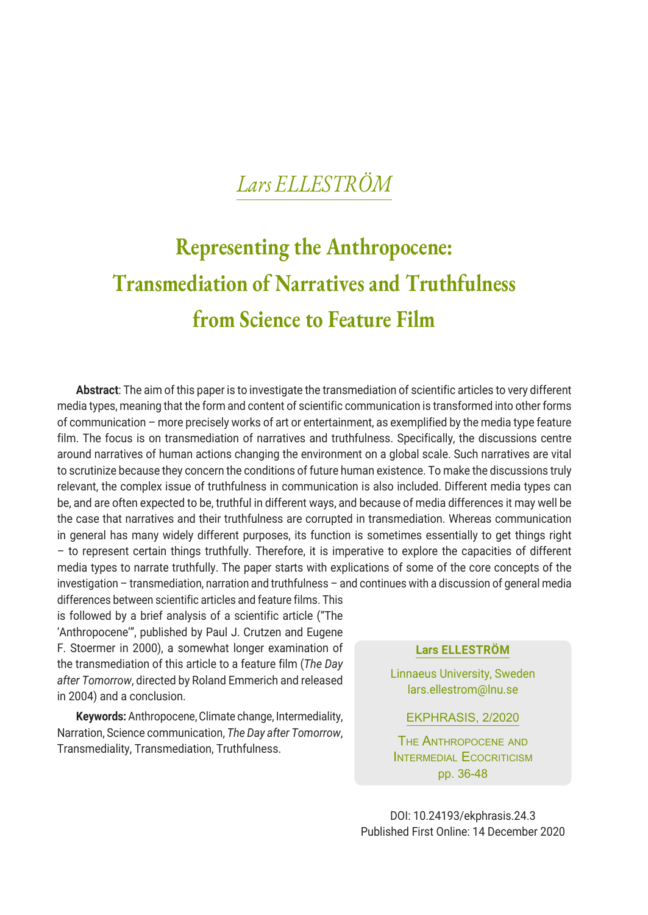# **Representing the Anthropocene: Transmediation of Narratives and Truthfulness from Science to Feature Film**

**Abstract**: The aim of this paper is to investigate the transmediation of scientific articles to very different media types, meaning that the form and content of scientific communication is transformed into other forms of communication – more precisely works of art or entertainment, as exemplified by the media type feature film. The focus is on transmediation of narratives and truthfulness. Specifically, the discussions centre around narratives of human actions changing the environment on a global scale. Such narratives are vital to scrutinize because they concern the conditions of future human existence. To make the discussions truly relevant, the complex issue of truthfulness in communication is also included. Different media types can be, and are often expected to be, truthful in different ways, and because of media differences it may well be the case that narratives and their truthfulness are corrupted in transmediation. Whereas communication in general has many widely different purposes, its function is sometimes essentially to get things right – to represent certain things truthfully. Therefore, it is imperative to explore the capacities of different media types to narrate truthfully. The paper starts with explications of some of the core concepts of the investigation – transmediation, narration and truthfulness – and continues with a discussion of general media

differences between scientific articles and feature films. This is followed by a brief analysis of a scientific article ("The 'Anthropocene'", published by Paul J. Crutzen and Eugene F. Stoermer in 2000), a somewhat longer examination of the transmediation of this article to a feature film (*The Day after Tomorrow*, directed by Roland Emmerich and released in 2004) and a conclusion.

**Keywords:** Anthropocene, Climate change, Intermediality, Narration, Science communication, *The Day after Tomorrow*, Transmediality, Transmediation, Truthfulness.

#### **Lars ELLESTRÖM**

Linnaeus University, Sweden lars.ellestrom@lnu.se

EKPHRASIS, 2/2020

The Anthropocene and INTERMEDIAL ECOCRITICISM pp. 36-48

DOI: 10.24193/ekphrasis.24.3 Published First Online: 14 December 2020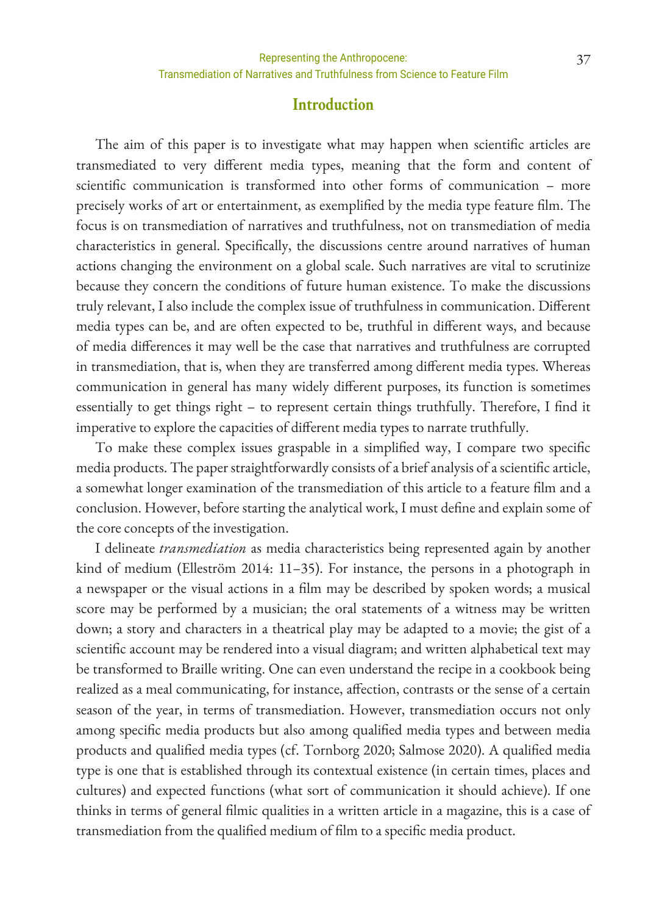#### **Introduction**

The aim of this paper is to investigate what may happen when scientific articles are transmediated to very different media types, meaning that the form and content of scientific communication is transformed into other forms of communication – more precisely works of art or entertainment, as exemplified by the media type feature film. The focus is on transmediation of narratives and truthfulness, not on transmediation of media characteristics in general. Specifically, the discussions centre around narratives of human actions changing the environment on a global scale. Such narratives are vital to scrutinize because they concern the conditions of future human existence. To make the discussions truly relevant, I also include the complex issue of truthfulness in communication. Different media types can be, and are often expected to be, truthful in different ways, and because of media differences it may well be the case that narratives and truthfulness are corrupted in transmediation, that is, when they are transferred among different media types. Whereas communication in general has many widely different purposes, its function is sometimes essentially to get things right – to represent certain things truthfully. Therefore, I find it imperative to explore the capacities of different media types to narrate truthfully.

To make these complex issues graspable in a simplified way, I compare two specific media products. The paper straightforwardly consists of a brief analysis of a scientific article, a somewhat longer examination of the transmediation of this article to a feature film and a conclusion. However, before starting the analytical work, I must define and explain some of the core concepts of the investigation.

I delineate *transmediation* as media characteristics being represented again by another kind of medium (Elleström 2014: 11–35). For instance, the persons in a photograph in a newspaper or the visual actions in a film may be described by spoken words; a musical score may be performed by a musician; the oral statements of a witness may be written down; a story and characters in a theatrical play may be adapted to a movie; the gist of a scientific account may be rendered into a visual diagram; and written alphabetical text may be transformed to Braille writing. One can even understand the recipe in a cookbook being realized as a meal communicating, for instance, affection, contrasts or the sense of a certain season of the year, in terms of transmediation. However, transmediation occurs not only among specific media products but also among qualified media types and between media products and qualified media types (cf. Tornborg 2020; Salmose 2020). A qualified media type is one that is established through its contextual existence (in certain times, places and cultures) and expected functions (what sort of communication it should achieve). If one thinks in terms of general filmic qualities in a written article in a magazine, this is a case of transmediation from the qualified medium of film to a specific media product.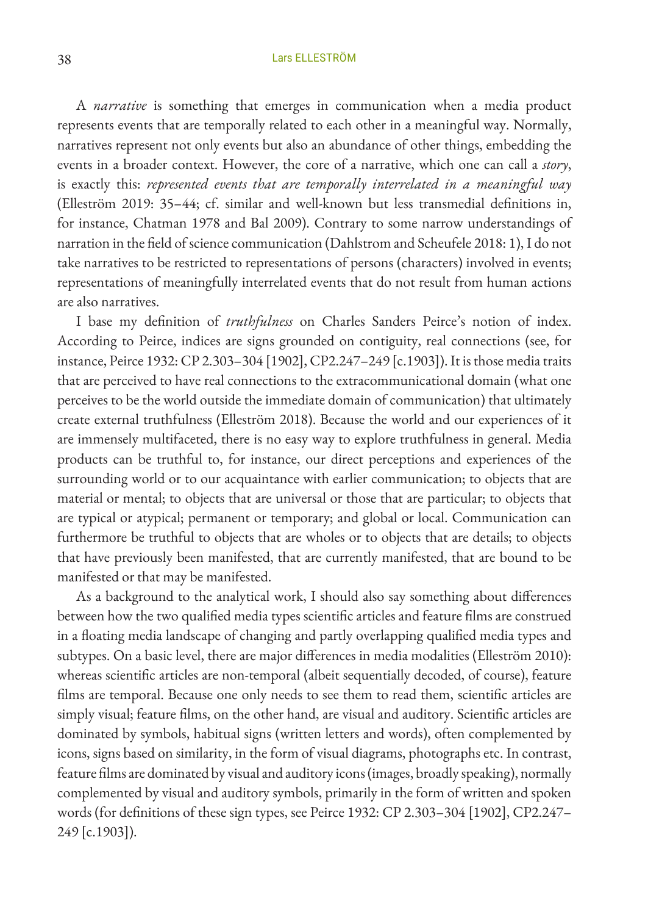A *narrative* is something that emerges in communication when a media product represents events that are temporally related to each other in a meaningful way. Normally, narratives represent not only events but also an abundance of other things, embedding the events in a broader context. However, the core of a narrative, which one can call a *story*, is exactly this: *represented events that are temporally interrelated in a meaningful way* (Elleström 2019: 35–44; cf. similar and well-known but less transmedial definitions in, for instance, Chatman 1978 and Bal 2009). Contrary to some narrow understandings of narration in the field of science communication (Dahlstrom and Scheufele 2018: 1), I do not take narratives to be restricted to representations of persons (characters) involved in events; representations of meaningfully interrelated events that do not result from human actions are also narratives.

I base my definition of *truthfulness* on Charles Sanders Peirce's notion of index. According to Peirce, indices are signs grounded on contiguity, real connections (see, for instance, Peirce 1932: CP 2.303–304 [1902], CP2.247–249 [c.1903]). It is those media traits that are perceived to have real connections to the extracommunicational domain (what one perceives to be the world outside the immediate domain of communication) that ultimately create external truthfulness (Elleström 2018). Because the world and our experiences of it are immensely multifaceted, there is no easy way to explore truthfulness in general. Media products can be truthful to, for instance, our direct perceptions and experiences of the surrounding world or to our acquaintance with earlier communication; to objects that are material or mental; to objects that are universal or those that are particular; to objects that are typical or atypical; permanent or temporary; and global or local. Communication can furthermore be truthful to objects that are wholes or to objects that are details; to objects that have previously been manifested, that are currently manifested, that are bound to be manifested or that may be manifested.

As a background to the analytical work, I should also say something about differences between how the two qualified media types scientific articles and feature films are construed in a floating media landscape of changing and partly overlapping qualified media types and subtypes. On a basic level, there are major differences in media modalities (Elleström 2010): whereas scientific articles are non-temporal (albeit sequentially decoded, of course), feature films are temporal. Because one only needs to see them to read them, scientific articles are simply visual; feature films, on the other hand, are visual and auditory. Scientific articles are dominated by symbols, habitual signs (written letters and words), often complemented by icons, signs based on similarity, in the form of visual diagrams, photographs etc. In contrast, feature films are dominated by visual and auditory icons (images, broadly speaking), normally complemented by visual and auditory symbols, primarily in the form of written and spoken words (for definitions of these sign types, see Peirce 1932: CP 2.303–304 [1902], CP2.247– 249 [c.1903]).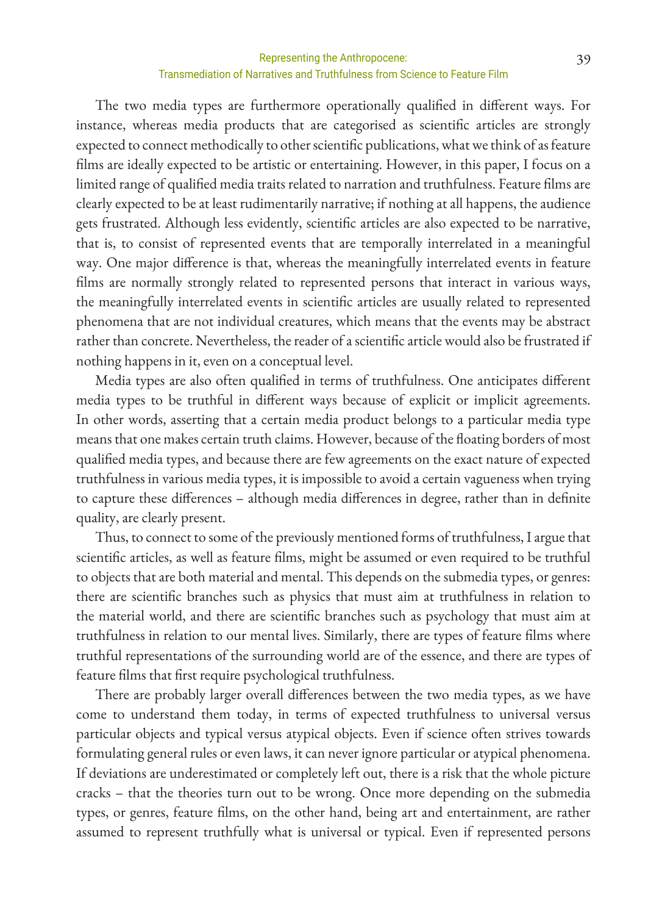#### Representing the Anthropocene: 39 Transmediation of Narratives and Truthfulness from Science to Feature Film

The two media types are furthermore operationally qualified in different ways. For instance, whereas media products that are categorised as scientific articles are strongly expected to connect methodically to other scientific publications, what we think of as feature films are ideally expected to be artistic or entertaining. However, in this paper, I focus on a limited range of qualified media traits related to narration and truthfulness. Feature films are clearly expected to be at least rudimentarily narrative; if nothing at all happens, the audience gets frustrated. Although less evidently, scientific articles are also expected to be narrative, that is, to consist of represented events that are temporally interrelated in a meaningful way. One major difference is that, whereas the meaningfully interrelated events in feature films are normally strongly related to represented persons that interact in various ways, the meaningfully interrelated events in scientific articles are usually related to represented phenomena that are not individual creatures, which means that the events may be abstract rather than concrete. Nevertheless, the reader of a scientific article would also be frustrated if nothing happens in it, even on a conceptual level.

Media types are also often qualified in terms of truthfulness. One anticipates different media types to be truthful in different ways because of explicit or implicit agreements. In other words, asserting that a certain media product belongs to a particular media type means that one makes certain truth claims. However, because of the floating borders of most qualified media types, and because there are few agreements on the exact nature of expected truthfulness in various media types, it is impossible to avoid a certain vagueness when trying to capture these differences – although media differences in degree, rather than in definite quality, are clearly present.

Thus, to connect to some of the previously mentioned forms of truthfulness, I argue that scientific articles, as well as feature films, might be assumed or even required to be truthful to objects that are both material and mental. This depends on the submedia types, or genres: there are scientific branches such as physics that must aim at truthfulness in relation to the material world, and there are scientific branches such as psychology that must aim at truthfulness in relation to our mental lives. Similarly, there are types of feature films where truthful representations of the surrounding world are of the essence, and there are types of feature films that first require psychological truthfulness.

There are probably larger overall differences between the two media types, as we have come to understand them today, in terms of expected truthfulness to universal versus particular objects and typical versus atypical objects. Even if science often strives towards formulating general rules or even laws, it can never ignore particular or atypical phenomena. If deviations are underestimated or completely left out, there is a risk that the whole picture cracks – that the theories turn out to be wrong. Once more depending on the submedia types, or genres, feature films, on the other hand, being art and entertainment, are rather assumed to represent truthfully what is universal or typical. Even if represented persons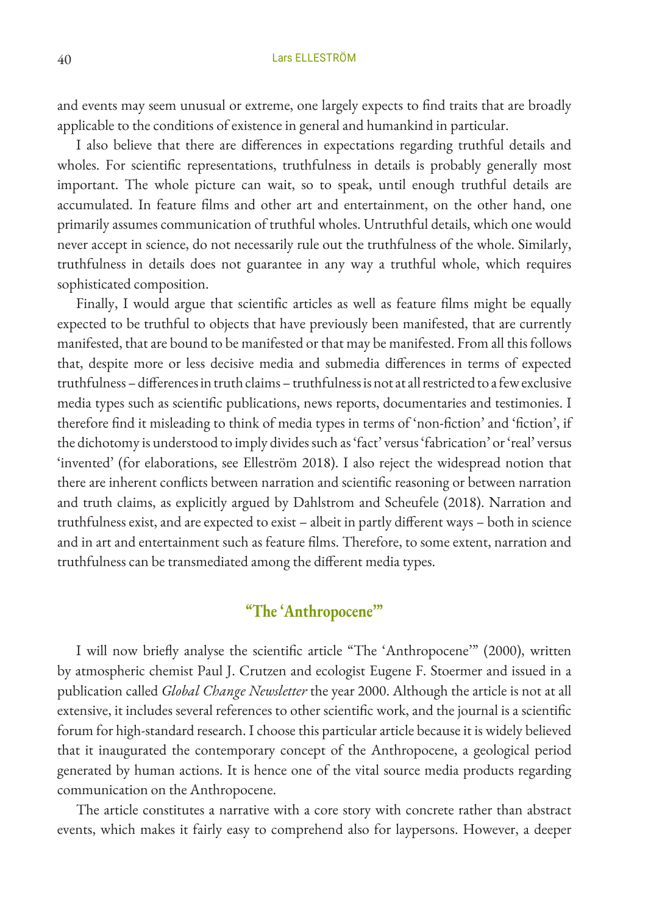and events may seem unusual or extreme, one largely expects to find traits that are broadly applicable to the conditions of existence in general and humankind in particular.

I also believe that there are differences in expectations regarding truthful details and wholes. For scientific representations, truthfulness in details is probably generally most important. The whole picture can wait, so to speak, until enough truthful details are accumulated. In feature films and other art and entertainment, on the other hand, one primarily assumes communication of truthful wholes. Untruthful details, which one would never accept in science, do not necessarily rule out the truthfulness of the whole. Similarly, truthfulness in details does not guarantee in any way a truthful whole, which requires sophisticated composition.

Finally, I would argue that scientific articles as well as feature films might be equally expected to be truthful to objects that have previously been manifested, that are currently manifested, that are bound to be manifested or that may be manifested. From all this follows that, despite more or less decisive media and submedia differences in terms of expected truthfulness – differences in truth claims – truthfulness is not at all restricted to a few exclusive media types such as scientific publications, news reports, documentaries and testimonies. I therefore find it misleading to think of media types in terms of 'non-fiction' and 'fiction', if the dichotomy is understood to imply divides such as 'fact' versus 'fabrication' or 'real' versus 'invented' (for elaborations, see Elleström 2018). I also reject the widespread notion that there are inherent conflicts between narration and scientific reasoning or between narration and truth claims, as explicitly argued by Dahlstrom and Scheufele (2018). Narration and truthfulness exist, and are expected to exist – albeit in partly different ways – both in science and in art and entertainment such as feature films. Therefore, to some extent, narration and truthfulness can be transmediated among the different media types.

## **"The 'Anthropocene'"**

I will now briefly analyse the scientific article "The 'Anthropocene'" (2000), written by atmospheric chemist Paul J. Crutzen and ecologist Eugene F. Stoermer and issued in a publication called *Global Change Newsletter* the year 2000. Although the article is not at all extensive, it includes several references to other scientific work, and the journal is a scientific forum for high-standard research. I choose this particular article because it is widely believed that it inaugurated the contemporary concept of the Anthropocene, a geological period generated by human actions. It is hence one of the vital source media products regarding communication on the Anthropocene.

The article constitutes a narrative with a core story with concrete rather than abstract events, which makes it fairly easy to comprehend also for laypersons. However, a deeper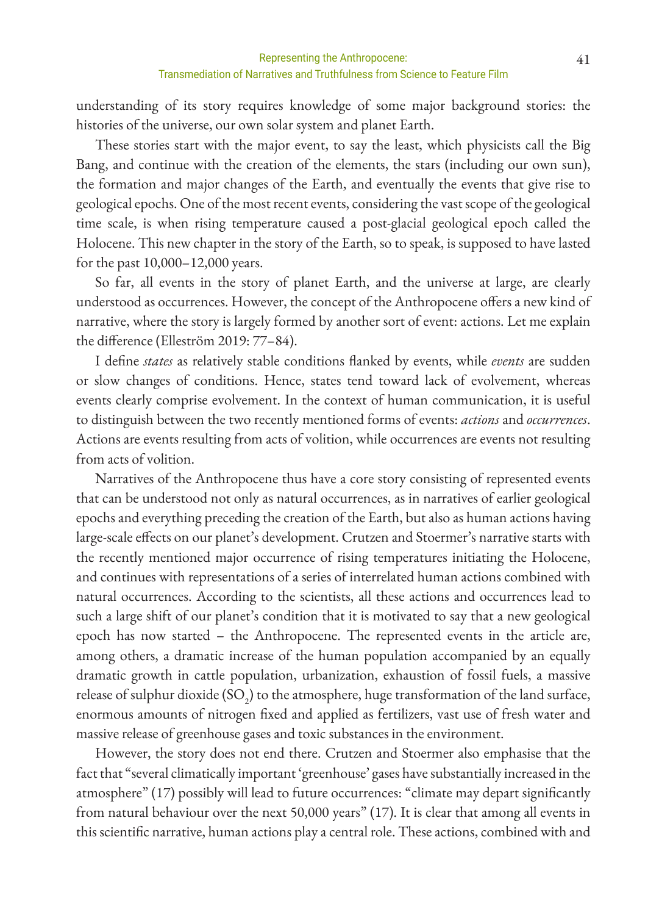understanding of its story requires knowledge of some major background stories: the histories of the universe, our own solar system and planet Earth.

These stories start with the major event, to say the least, which physicists call the Big Bang, and continue with the creation of the elements, the stars (including our own sun), the formation and major changes of the Earth, and eventually the events that give rise to geological epochs. One of the most recent events, considering the vast scope of the geological time scale, is when rising temperature caused a post-glacial geological epoch called the Holocene. This new chapter in the story of the Earth, so to speak, is supposed to have lasted for the past 10,000–12,000 years.

So far, all events in the story of planet Earth, and the universe at large, are clearly understood as occurrences. However, the concept of the Anthropocene offers a new kind of narrative, where the story is largely formed by another sort of event: actions. Let me explain the difference (Elleström 2019: 77–84).

I define *states* as relatively stable conditions flanked by events, while *events* are sudden or slow changes of conditions. Hence, states tend toward lack of evolvement, whereas events clearly comprise evolvement. In the context of human communication, it is useful to distinguish between the two recently mentioned forms of events: *actions* and *occurrences*. Actions are events resulting from acts of volition, while occurrences are events not resulting from acts of volition.

Narratives of the Anthropocene thus have a core story consisting of represented events that can be understood not only as natural occurrences, as in narratives of earlier geological epochs and everything preceding the creation of the Earth, but also as human actions having large-scale effects on our planet's development. Crutzen and Stoermer's narrative starts with the recently mentioned major occurrence of rising temperatures initiating the Holocene, and continues with representations of a series of interrelated human actions combined with natural occurrences. According to the scientists, all these actions and occurrences lead to such a large shift of our planet's condition that it is motivated to say that a new geological epoch has now started – the Anthropocene. The represented events in the article are, among others, a dramatic increase of the human population accompanied by an equally dramatic growth in cattle population, urbanization, exhaustion of fossil fuels, a massive release of sulphur dioxide (SO<sub>2</sub>) to the atmosphere, huge transformation of the land surface, enormous amounts of nitrogen fixed and applied as fertilizers, vast use of fresh water and massive release of greenhouse gases and toxic substances in the environment.

However, the story does not end there. Crutzen and Stoermer also emphasise that the fact that "several climatically important 'greenhouse' gases have substantially increased in the atmosphere" (17) possibly will lead to future occurrences: "climate may depart significantly from natural behaviour over the next 50,000 years" (17). It is clear that among all events in this scientific narrative, human actions play a central role. These actions, combined with and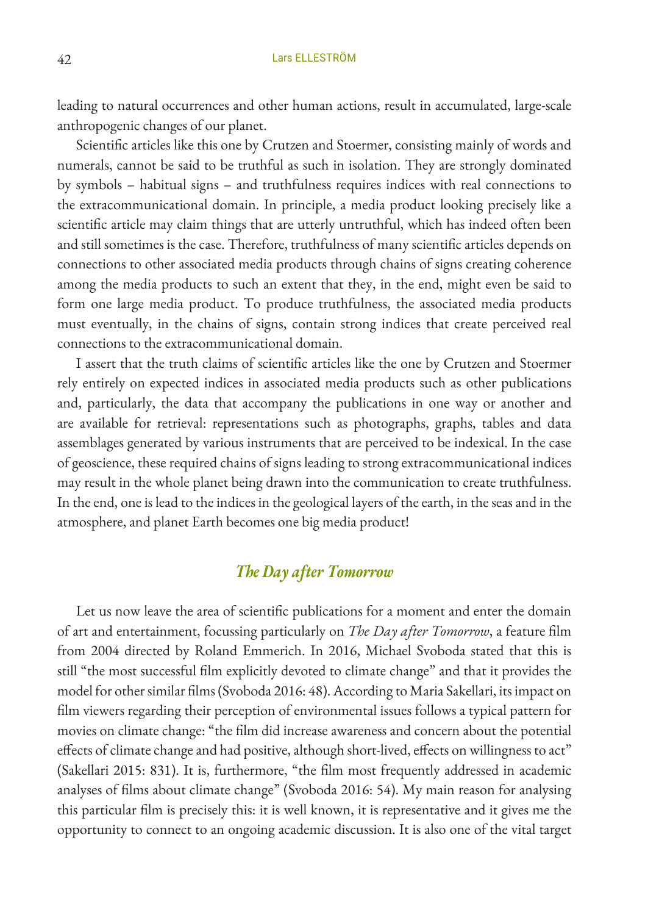leading to natural occurrences and other human actions, result in accumulated, large-scale anthropogenic changes of our planet.

Scientific articles like this one by Crutzen and Stoermer, consisting mainly of words and numerals, cannot be said to be truthful as such in isolation. They are strongly dominated by symbols – habitual signs – and truthfulness requires indices with real connections to the extracommunicational domain. In principle, a media product looking precisely like a scientific article may claim things that are utterly untruthful, which has indeed often been and still sometimes is the case. Therefore, truthfulness of many scientific articles depends on connections to other associated media products through chains of signs creating coherence among the media products to such an extent that they, in the end, might even be said to form one large media product. To produce truthfulness, the associated media products must eventually, in the chains of signs, contain strong indices that create perceived real connections to the extracommunicational domain.

I assert that the truth claims of scientific articles like the one by Crutzen and Stoermer rely entirely on expected indices in associated media products such as other publications and, particularly, the data that accompany the publications in one way or another and are available for retrieval: representations such as photographs, graphs, tables and data assemblages generated by various instruments that are perceived to be indexical. In the case of geoscience, these required chains of signs leading to strong extracommunicational indices may result in the whole planet being drawn into the communication to create truthfulness. In the end, one is lead to the indices in the geological layers of the earth, in the seas and in the atmosphere, and planet Earth becomes one big media product!

# *The Day after Tomorrow*

Let us now leave the area of scientific publications for a moment and enter the domain of art and entertainment, focussing particularly on *The Day after Tomorrow*, a feature film from 2004 directed by Roland Emmerich. In 2016, Michael Svoboda stated that this is still "the most successful film explicitly devoted to climate change" and that it provides the model for other similar films (Svoboda 2016: 48). According to Maria Sakellari, its impact on film viewers regarding their perception of environmental issues follows a typical pattern for movies on climate change: "the film did increase awareness and concern about the potential effects of climate change and had positive, although short-lived, effects on willingness to act" (Sakellari 2015: 831). It is, furthermore, "the film most frequently addressed in academic analyses of films about climate change" (Svoboda 2016: 54). My main reason for analysing this particular film is precisely this: it is well known, it is representative and it gives me the opportunity to connect to an ongoing academic discussion. It is also one of the vital target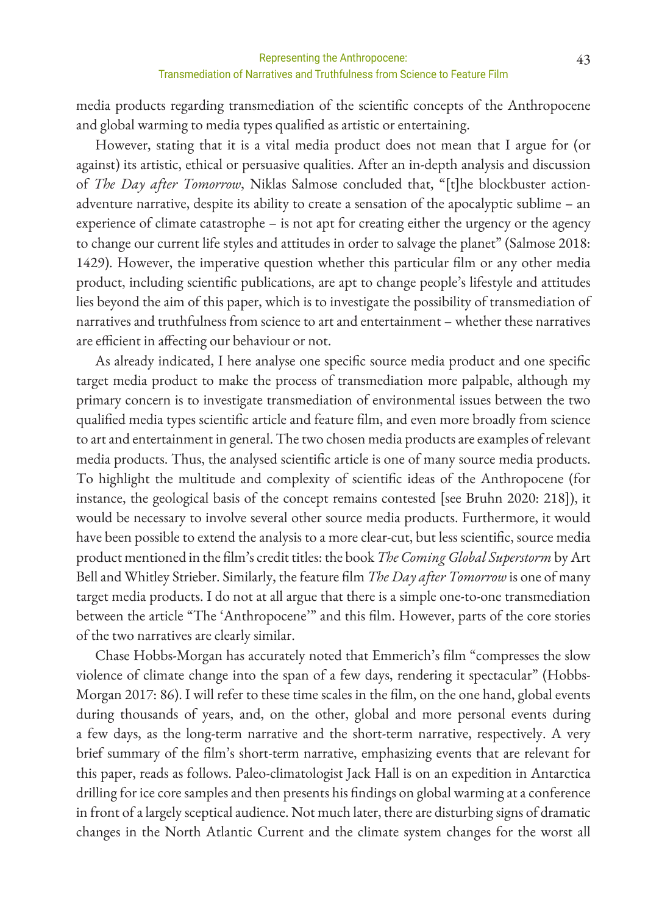media products regarding transmediation of the scientific concepts of the Anthropocene and global warming to media types qualified as artistic or entertaining.

However, stating that it is a vital media product does not mean that I argue for (or against) its artistic, ethical or persuasive qualities. After an in-depth analysis and discussion of *The Day after Tomorrow*, Niklas Salmose concluded that, "[t]he blockbuster actionadventure narrative, despite its ability to create a sensation of the apocalyptic sublime – an experience of climate catastrophe – is not apt for creating either the urgency or the agency to change our current life styles and attitudes in order to salvage the planet" (Salmose 2018: 1429). However, the imperative question whether this particular film or any other media product, including scientific publications, are apt to change people's lifestyle and attitudes lies beyond the aim of this paper, which is to investigate the possibility of transmediation of narratives and truthfulness from science to art and entertainment – whether these narratives are efficient in affecting our behaviour or not.

As already indicated, I here analyse one specific source media product and one specific target media product to make the process of transmediation more palpable, although my primary concern is to investigate transmediation of environmental issues between the two qualified media types scientific article and feature film, and even more broadly from science to art and entertainment in general. The two chosen media products are examples of relevant media products. Thus, the analysed scientific article is one of many source media products. To highlight the multitude and complexity of scientific ideas of the Anthropocene (for instance, the geological basis of the concept remains contested [see Bruhn 2020: 218]), it would be necessary to involve several other source media products. Furthermore, it would have been possible to extend the analysis to a more clear-cut, but less scientific, source media product mentioned in the film's credit titles: the book *The Coming Global Superstorm* by Art Bell and Whitley Strieber. Similarly, the feature film *The Day after Tomorrow* is one of many target media products. I do not at all argue that there is a simple one-to-one transmediation between the article "The 'Anthropocene'" and this film. However, parts of the core stories of the two narratives are clearly similar.

Chase Hobbs-Morgan has accurately noted that Emmerich's film "compresses the slow violence of climate change into the span of a few days, rendering it spectacular" (Hobbs-Morgan 2017: 86). I will refer to these time scales in the film, on the one hand, global events during thousands of years, and, on the other, global and more personal events during a few days, as the long-term narrative and the short-term narrative, respectively. A very brief summary of the film's short-term narrative, emphasizing events that are relevant for this paper, reads as follows. Paleo-climatologist Jack Hall is on an expedition in Antarctica drilling for ice core samples and then presents his findings on global warming at a conference in front of a largely sceptical audience. Not much later, there are disturbing signs of dramatic changes in the North Atlantic Current and the climate system changes for the worst all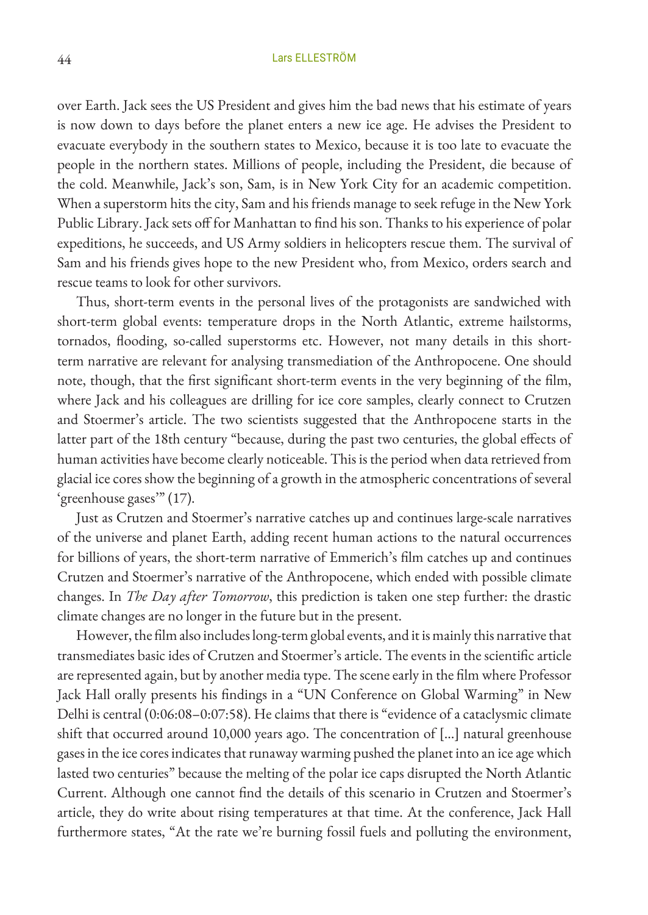over Earth. Jack sees the US President and gives him the bad news that his estimate of years is now down to days before the planet enters a new ice age. He advises the President to evacuate everybody in the southern states to Mexico, because it is too late to evacuate the people in the northern states. Millions of people, including the President, die because of the cold. Meanwhile, Jack's son, Sam, is in New York City for an academic competition. When a superstorm hits the city, Sam and his friends manage to seek refuge in the New York Public Library. Jack sets off for Manhattan to find his son. Thanks to his experience of polar expeditions, he succeeds, and US Army soldiers in helicopters rescue them. The survival of Sam and his friends gives hope to the new President who, from Mexico, orders search and rescue teams to look for other survivors.

Thus, short-term events in the personal lives of the protagonists are sandwiched with short-term global events: temperature drops in the North Atlantic, extreme hailstorms, tornados, flooding, so-called superstorms etc. However, not many details in this shortterm narrative are relevant for analysing transmediation of the Anthropocene. One should note, though, that the first significant short-term events in the very beginning of the film, where Jack and his colleagues are drilling for ice core samples, clearly connect to Crutzen and Stoermer's article. The two scientists suggested that the Anthropocene starts in the latter part of the 18th century "because, during the past two centuries, the global effects of human activities have become clearly noticeable. This is the period when data retrieved from glacial ice cores show the beginning of a growth in the atmospheric concentrations of several 'greenhouse gases'" (17).

Just as Crutzen and Stoermer's narrative catches up and continues large-scale narratives of the universe and planet Earth, adding recent human actions to the natural occurrences for billions of years, the short-term narrative of Emmerich's film catches up and continues Crutzen and Stoermer's narrative of the Anthropocene, which ended with possible climate changes. In *The Day after Tomorrow*, this prediction is taken one step further: the drastic climate changes are no longer in the future but in the present.

However, the film also includes long-term global events, and it is mainly this narrative that transmediates basic ides of Crutzen and Stoermer's article. The events in the scientific article are represented again, but by another media type. The scene early in the film where Professor Jack Hall orally presents his findings in a "UN Conference on Global Warming" in New Delhi is central (0:06:08–0:07:58). He claims that there is "evidence of a cataclysmic climate shift that occurred around 10,000 years ago. The concentration of […] natural greenhouse gases in the ice cores indicates that runaway warming pushed the planet into an ice age which lasted two centuries" because the melting of the polar ice caps disrupted the North Atlantic Current. Although one cannot find the details of this scenario in Crutzen and Stoermer's article, they do write about rising temperatures at that time. At the conference, Jack Hall furthermore states, "At the rate we're burning fossil fuels and polluting the environment,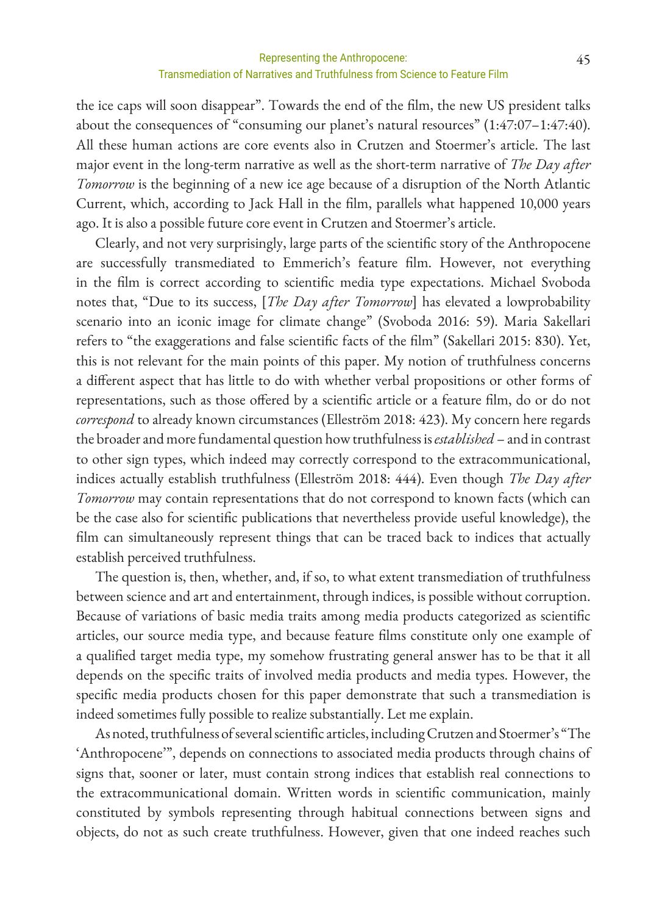the ice caps will soon disappear". Towards the end of the film, the new US president talks about the consequences of "consuming our planet's natural resources" (1:47:07–1:47:40). All these human actions are core events also in Crutzen and Stoermer's article. The last major event in the long-term narrative as well as the short-term narrative of *The Day after Tomorrow* is the beginning of a new ice age because of a disruption of the North Atlantic Current, which, according to Jack Hall in the film, parallels what happened 10,000 years ago. It is also a possible future core event in Crutzen and Stoermer's article.

Clearly, and not very surprisingly, large parts of the scientific story of the Anthropocene are successfully transmediated to Emmerich's feature film. However, not everything in the film is correct according to scientific media type expectations. Michael Svoboda notes that, "Due to its success, [*The Day after Tomorrow*] has elevated a lowprobability scenario into an iconic image for climate change" (Svoboda 2016: 59). Maria Sakellari refers to "the exaggerations and false scientific facts of the film" (Sakellari 2015: 830). Yet, this is not relevant for the main points of this paper. My notion of truthfulness concerns a different aspect that has little to do with whether verbal propositions or other forms of representations, such as those offered by a scientific article or a feature film, do or do not *correspond* to already known circumstances (Elleström 2018: 423). My concern here regards the broader and more fundamental question how truthfulness is *established* – and in contrast to other sign types, which indeed may correctly correspond to the extracommunicational, indices actually establish truthfulness (Elleström 2018: 444). Even though *The Day after Tomorrow* may contain representations that do not correspond to known facts (which can be the case also for scientific publications that nevertheless provide useful knowledge), the film can simultaneously represent things that can be traced back to indices that actually establish perceived truthfulness.

The question is, then, whether, and, if so, to what extent transmediation of truthfulness between science and art and entertainment, through indices, is possible without corruption. Because of variations of basic media traits among media products categorized as scientific articles, our source media type, and because feature films constitute only one example of a qualified target media type, my somehow frustrating general answer has to be that it all depends on the specific traits of involved media products and media types. However, the specific media products chosen for this paper demonstrate that such a transmediation is indeed sometimes fully possible to realize substantially. Let me explain.

As noted, truthfulness of several scientific articles, including Crutzen and Stoermer's "The 'Anthropocene'", depends on connections to associated media products through chains of signs that, sooner or later, must contain strong indices that establish real connections to the extracommunicational domain. Written words in scientific communication, mainly constituted by symbols representing through habitual connections between signs and objects, do not as such create truthfulness. However, given that one indeed reaches such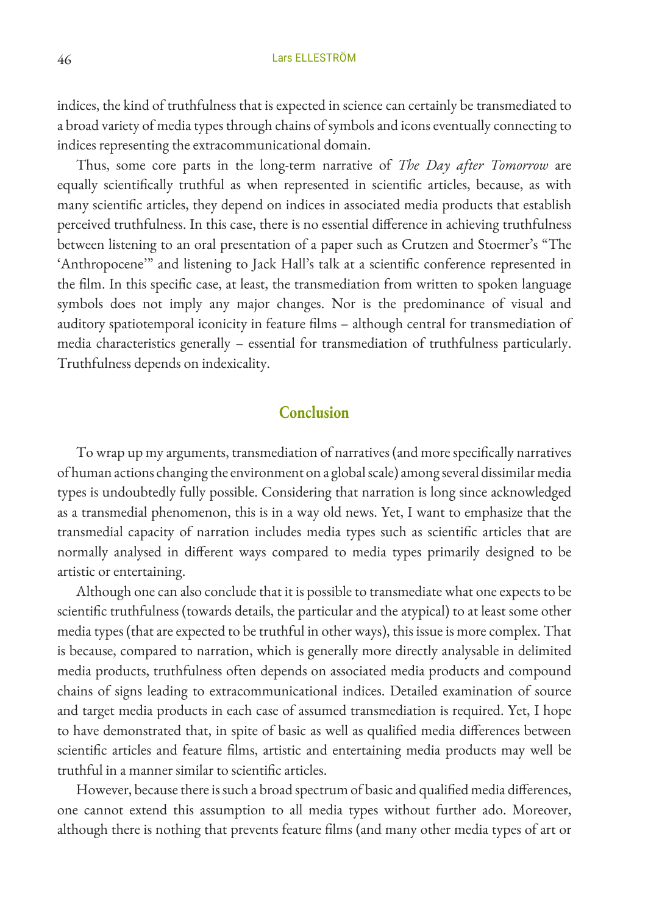indices, the kind of truthfulness that is expected in science can certainly be transmediated to a broad variety of media types through chains of symbols and icons eventually connecting to indices representing the extracommunicational domain.

Thus, some core parts in the long-term narrative of *The Day after Tomorrow* are equally scientifically truthful as when represented in scientific articles, because, as with many scientific articles, they depend on indices in associated media products that establish perceived truthfulness. In this case, there is no essential difference in achieving truthfulness between listening to an oral presentation of a paper such as Crutzen and Stoermer's "The 'Anthropocene'" and listening to Jack Hall's talk at a scientific conference represented in the film. In this specific case, at least, the transmediation from written to spoken language symbols does not imply any major changes. Nor is the predominance of visual and auditory spatiotemporal iconicity in feature films – although central for transmediation of media characteristics generally – essential for transmediation of truthfulness particularly. Truthfulness depends on indexicality.

#### **Conclusion**

To wrap up my arguments, transmediation of narratives (and more specifically narratives of human actions changing the environment on a global scale) among several dissimilar media types is undoubtedly fully possible. Considering that narration is long since acknowledged as a transmedial phenomenon, this is in a way old news. Yet, I want to emphasize that the transmedial capacity of narration includes media types such as scientific articles that are normally analysed in different ways compared to media types primarily designed to be artistic or entertaining.

Although one can also conclude that it is possible to transmediate what one expects to be scientific truthfulness (towards details, the particular and the atypical) to at least some other media types (that are expected to be truthful in other ways), this issue is more complex. That is because, compared to narration, which is generally more directly analysable in delimited media products, truthfulness often depends on associated media products and compound chains of signs leading to extracommunicational indices. Detailed examination of source and target media products in each case of assumed transmediation is required. Yet, I hope to have demonstrated that, in spite of basic as well as qualified media differences between scientific articles and feature films, artistic and entertaining media products may well be truthful in a manner similar to scientific articles.

However, because there is such a broad spectrum of basic and qualified media differences, one cannot extend this assumption to all media types without further ado. Moreover, although there is nothing that prevents feature films (and many other media types of art or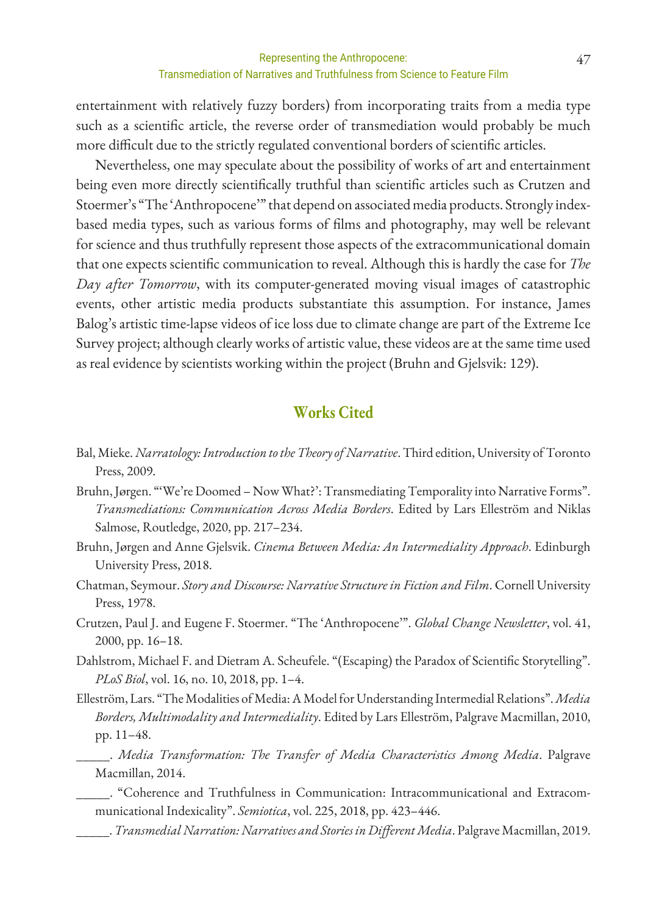entertainment with relatively fuzzy borders) from incorporating traits from a media type such as a scientific article, the reverse order of transmediation would probably be much more difficult due to the strictly regulated conventional borders of scientific articles.

Nevertheless, one may speculate about the possibility of works of art and entertainment being even more directly scientifically truthful than scientific articles such as Crutzen and Stoermer's "The 'Anthropocene'" that depend on associated media products. Strongly indexbased media types, such as various forms of films and photography, may well be relevant for science and thus truthfully represent those aspects of the extracommunicational domain that one expects scientific communication to reveal. Although this is hardly the case for *The Day after Tomorrow*, with its computer-generated moving visual images of catastrophic events, other artistic media products substantiate this assumption. For instance, James Balog's artistic time-lapse videos of ice loss due to climate change are part of the Extreme Ice Survey project; although clearly works of artistic value, these videos are at the same time used as real evidence by scientists working within the project (Bruhn and Gjelsvik: 129).

### **Works Cited**

- Bal, Mieke. *Narratology: Introduction to the Theory of Narrative*. Third edition, University of Toronto Press, 2009.
- Bruhn, Jørgen. "'We're Doomed Now What?': Transmediating Temporality into Narrative Forms". *Transmediations: Communication Across Media Borders*. Edited by Lars Elleström and Niklas Salmose, Routledge, 2020, pp. 217–234.
- Bruhn, Jørgen and Anne Gjelsvik. *Cinema Between Media: An Intermediality Approach*. Edinburgh University Press, 2018.
- Chatman, Seymour. *Story and Discourse: Narrative Structure in Fiction and Film*. Cornell University Press, 1978.
- Crutzen, Paul J. and Eugene F. Stoermer. "The 'Anthropocene'". *Global Change Newsletter*, vol. 41, 2000, pp. 16–18.
- Dahlstrom, Michael F. and Dietram A. Scheufele. "(Escaping) the Paradox of Scientific Storytelling". *PLoS Biol*, vol. 16, no. 10, 2018, pp. 1–4.
- Elleström, Lars. "The Modalities of Media: A Model for Understanding Intermedial Relations". *Media Borders, Multimodality and Intermediality*. Edited by Lars Elleström, Palgrave Macmillan, 2010, pp. 11–48.
	- \_\_\_\_\_. *Media Transformation: The Transfer of Media Characteristics Among Media*. Palgrave Macmillan, 2014.
	- \_\_\_\_\_. "Coherence and Truthfulness in Communication: Intracommunicational and Extracommunicational Indexicality". *Semiotica*, vol. 225, 2018, pp. 423–446.
	- \_\_\_\_\_. *Transmedial Narration: Narratives and Stories in Different Media*. Palgrave Macmillan, 2019.